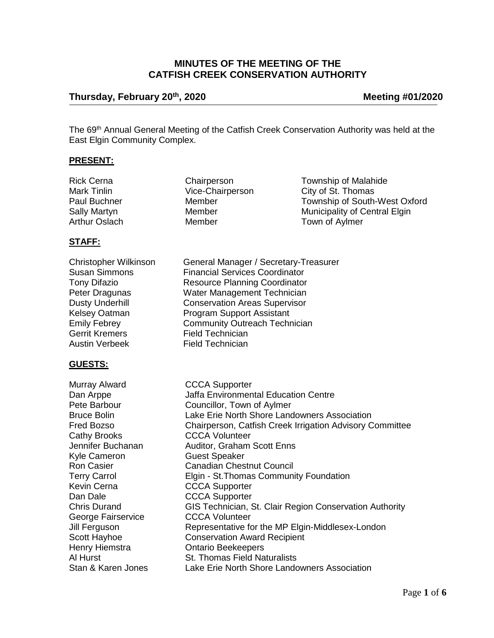# **MINUTES OF THE MEETING OF THE CATFISH CREEK CONSERVATION AUTHORITY**

## **Thursday, February 20th, 2020 Meeting #01/2020**

City of St. Thomas

The 69<sup>th</sup> Annual General Meeting of the Catfish Creek Conservation Authority was held at the East Elgin Community Complex.

## **PRESENT:**

Rick Cerna Chairperson Township of Malahide Paul Buchner Member Member Township of South-West Oxford Sally Martyn **Municipality of Central Elgin**<br>
Arthur Oslach **Member** Member **Municipality of Avimer** 

# **STAFF:**

Austin Verbeek Field Technician

## **GUESTS:**

| Murray Alward       | <b>CCCA Supporter</b>                                    |
|---------------------|----------------------------------------------------------|
| Dan Arppe           | Jaffa Environmental Education Centre                     |
| Pete Barbour        | Councillor, Town of Aylmer                               |
| <b>Bruce Bolin</b>  | Lake Erie North Shore Landowners Association             |
| Fred Bozso          | Chairperson, Catfish Creek Irrigation Advisory Committee |
| <b>Cathy Brooks</b> | <b>CCCA Volunteer</b>                                    |
| Jennifer Buchanan   | Auditor, Graham Scott Enns                               |
| Kyle Cameron        | <b>Guest Speaker</b>                                     |
| <b>Ron Casier</b>   | <b>Canadian Chestnut Council</b>                         |
| <b>Terry Carrol</b> | Elgin - St. Thomas Community Foundation                  |
| Kevin Cerna         | <b>CCCA Supporter</b>                                    |
| Dan Dale            | <b>CCCA Supporter</b>                                    |
| <b>Chris Durand</b> | GIS Technician, St. Clair Region Conservation Authority  |
| George Fairservice  | <b>CCCA Volunteer</b>                                    |
| Jill Ferguson       | Representative for the MP Elgin-Middlesex-London         |
| Scott Hayhoe        | <b>Conservation Award Recipient</b>                      |
| Henry Hiemstra      | <b>Ontario Beekeepers</b>                                |
| Al Hurst            | St. Thomas Field Naturalists                             |
| Stan & Karen Jones  | Lake Erie North Shore Landowners Association             |

Christopher Wilkinson General Manager / Secretary-Treasurer Susan Simmons Financial Services Coordinator Tony Difazio **Resource Planning Coordinator**<br>
Peter Dragunas **Mater Management Technician** Water Management Technician Dusty Underhill Conservation Areas Supervisor Kelsey Oatman **Program Support Assistant**<br> **Emily Febrey Community Outreach Techn** Emily Febrey **Community Outreach Technician**<br>
Gerrit Kremers
Gerrit Kremers **Example Accept Field Technician** Field Technician

Member Town of Aylmer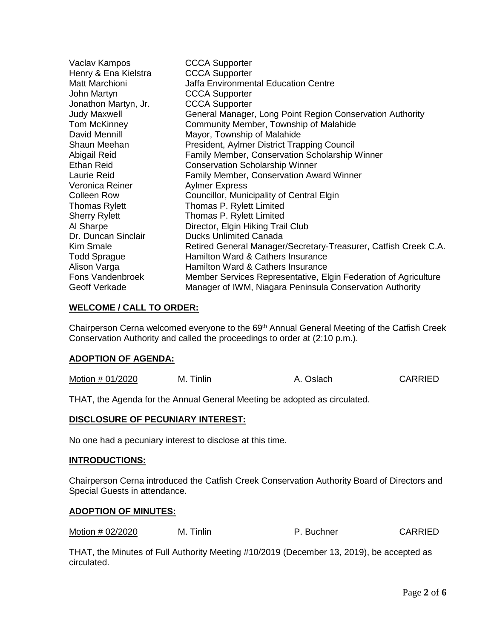| Vaclav Kampos        | <b>CCCA Supporter</b>                                           |
|----------------------|-----------------------------------------------------------------|
| Henry & Ena Kielstra | <b>CCCA Supporter</b>                                           |
| Matt Marchioni       | <b>Jaffa Environmental Education Centre</b>                     |
| John Martyn          | <b>CCCA Supporter</b>                                           |
| Jonathon Martyn, Jr. | <b>CCCA Supporter</b>                                           |
| <b>Judy Maxwell</b>  | General Manager, Long Point Region Conservation Authority       |
| Tom McKinney         | Community Member, Township of Malahide                          |
| David Mennill        | Mayor, Township of Malahide                                     |
| Shaun Meehan         | President, Aylmer District Trapping Council                     |
| Abigail Reid         | Family Member, Conservation Scholarship Winner                  |
| Ethan Reid           | <b>Conservation Scholarship Winner</b>                          |
| Laurie Reid          | <b>Family Member, Conservation Award Winner</b>                 |
| Veronica Reiner      | <b>Aylmer Express</b>                                           |
| <b>Colleen Row</b>   | Councillor, Municipality of Central Elgin                       |
| <b>Thomas Rylett</b> | Thomas P. Rylett Limited                                        |
| <b>Sherry Rylett</b> | Thomas P. Rylett Limited                                        |
| Al Sharpe            | Director, Elgin Hiking Trail Club                               |
| Dr. Duncan Sinclair  | <b>Ducks Unlimited Canada</b>                                   |
| <b>Kim Smale</b>     | Retired General Manager/Secretary-Treasurer, Catfish Creek C.A. |
| <b>Todd Sprague</b>  | Hamilton Ward & Cathers Insurance                               |
| Alison Varga         | Hamilton Ward & Cathers Insurance                               |
| Fons Vandenbroek     | Member Services Representative, Elgin Federation of Agriculture |
| Geoff Verkade        | Manager of IWM, Niagara Peninsula Conservation Authority        |

## **WELCOME / CALL TO ORDER:**

Chairperson Cerna welcomed everyone to the 69<sup>th</sup> Annual General Meeting of the Catfish Creek Conservation Authority and called the proceedings to order at (2:10 p.m.).

#### **ADOPTION OF AGENDA:**

Motion # 01/2020 M. Tinlin A. Oslach CARRIED

THAT, the Agenda for the Annual General Meeting be adopted as circulated.

#### **DISCLOSURE OF PECUNIARY INTEREST:**

No one had a pecuniary interest to disclose at this time.

#### **INTRODUCTIONS:**

Chairperson Cerna introduced the Catfish Creek Conservation Authority Board of Directors and Special Guests in attendance.

#### **ADOPTION OF MINUTES:**

Motion # 02/2020 M. Tinlin Research P. Buchner CARRIED

THAT, the Minutes of Full Authority Meeting #10/2019 (December 13, 2019), be accepted as circulated.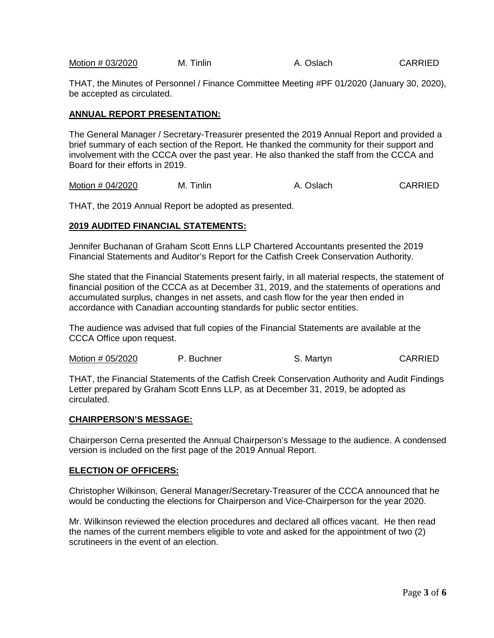Motion # 03/2020 M. Tinlin A. Oslach CARRIED

THAT, the Minutes of Personnel / Finance Committee Meeting #PF 01/2020 (January 30, 2020), be accepted as circulated.

## **ANNUAL REPORT PRESENTATION:**

The General Manager / Secretary-Treasurer presented the 2019 Annual Report and provided a brief summary of each section of the Report. He thanked the community for their support and involvement with the CCCA over the past year. He also thanked the staff from the CCCA and Board for their efforts in 2019.

Motion # 04/2020 M. Tinlin A. Oslach CARRIED

THAT, the 2019 Annual Report be adopted as presented.

## **2019 AUDITED FINANCIAL STATEMENTS:**

Jennifer Buchanan of Graham Scott Enns LLP Chartered Accountants presented the 2019 Financial Statements and Auditor's Report for the Catfish Creek Conservation Authority.

She stated that the Financial Statements present fairly, in all material respects, the statement of financial position of the CCCA as at December 31, 2019, and the statements of operations and accumulated surplus, changes in net assets, and cash flow for the year then ended in accordance with Canadian accounting standards for public sector entities.

The audience was advised that full copies of the Financial Statements are available at the CCCA Office upon request.

Motion # 05/2020 P. Buchner S. Martyn S. Martyn CARRIED

THAT, the Financial Statements of the Catfish Creek Conservation Authority and Audit Findings Letter prepared by Graham Scott Enns LLP, as at December 31, 2019, be adopted as circulated.

#### **CHAIRPERSON'S MESSAGE:**

Chairperson Cerna presented the Annual Chairperson's Message to the audience. A condensed version is included on the first page of the 2019 Annual Report.

#### **ELECTION OF OFFICERS:**

Christopher Wilkinson, General Manager/Secretary-Treasurer of the CCCA announced that he would be conducting the elections for Chairperson and Vice-Chairperson for the year 2020.

Mr. Wilkinson reviewed the election procedures and declared all offices vacant. He then read the names of the current members eligible to vote and asked for the appointment of two (2) scrutineers in the event of an election.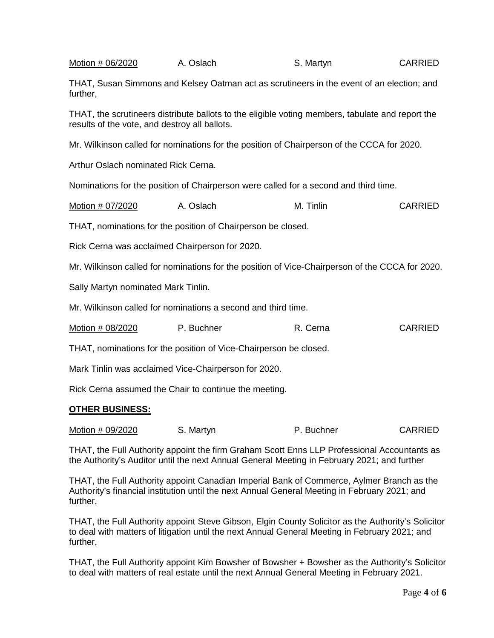Motion # 06/2020 A. Oslach S. Martyn S. Martyn

THAT, Susan Simmons and Kelsey Oatman act as scrutineers in the event of an election; and further,

THAT, the scrutineers distribute ballots to the eligible voting members, tabulate and report the results of the vote, and destroy all ballots.

Mr. Wilkinson called for nominations for the position of Chairperson of the CCCA for 2020.

Arthur Oslach nominated Rick Cerna.

Nominations for the position of Chairperson were called for a second and third time.

Motion # 07/2020 A. Oslach M. Tinlin CARRIED

THAT, nominations for the position of Chairperson be closed.

Rick Cerna was acclaimed Chairperson for 2020.

Mr. Wilkinson called for nominations for the position of Vice-Chairperson of the CCCA for 2020.

Sally Martyn nominated Mark Tinlin.

Mr. Wilkinson called for nominations a second and third time.

| Motion # 08/2020 | P. Buchner | R. Cerna | <b>CARRIED</b> |
|------------------|------------|----------|----------------|
|------------------|------------|----------|----------------|

THAT, nominations for the position of Vice-Chairperson be closed.

Mark Tinlin was acclaimed Vice-Chairperson for 2020.

Rick Cerna assumed the Chair to continue the meeting.

#### **OTHER BUSINESS:**

| Motion # 09/2020 | S. Martyn | P. Buchner | <b>CARRIED</b> |
|------------------|-----------|------------|----------------|
|                  |           |            |                |

THAT, the Full Authority appoint the firm Graham Scott Enns LLP Professional Accountants as the Authority's Auditor until the next Annual General Meeting in February 2021; and further

THAT, the Full Authority appoint Canadian Imperial Bank of Commerce, Aylmer Branch as the Authority's financial institution until the next Annual General Meeting in February 2021; and further,

THAT, the Full Authority appoint Steve Gibson, Elgin County Solicitor as the Authority's Solicitor to deal with matters of litigation until the next Annual General Meeting in February 2021; and further,

THAT, the Full Authority appoint Kim Bowsher of Bowsher + Bowsher as the Authority's Solicitor to deal with matters of real estate until the next Annual General Meeting in February 2021.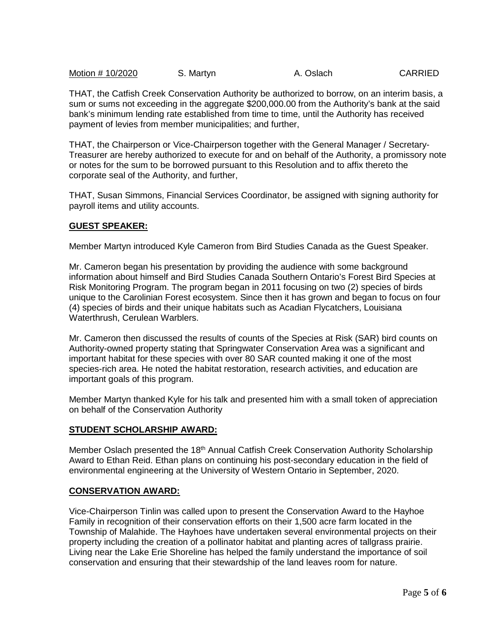Motion # 10/2020 S. Martyn A. Oslach CARRIED

THAT, the Catfish Creek Conservation Authority be authorized to borrow, on an interim basis, a sum or sums not exceeding in the aggregate \$200,000.00 from the Authority's bank at the said bank's minimum lending rate established from time to time, until the Authority has received payment of levies from member municipalities; and further,

THAT, the Chairperson or Vice-Chairperson together with the General Manager / Secretary-Treasurer are hereby authorized to execute for and on behalf of the Authority, a promissory note or notes for the sum to be borrowed pursuant to this Resolution and to affix thereto the corporate seal of the Authority, and further,

THAT, Susan Simmons, Financial Services Coordinator, be assigned with signing authority for payroll items and utility accounts.

## **GUEST SPEAKER:**

Member Martyn introduced Kyle Cameron from Bird Studies Canada as the Guest Speaker.

Mr. Cameron began his presentation by providing the audience with some background information about himself and Bird Studies Canada Southern Ontario's Forest Bird Species at Risk Monitoring Program. The program began in 2011 focusing on two (2) species of birds unique to the Carolinian Forest ecosystem. Since then it has grown and began to focus on four (4) species of birds and their unique habitats such as Acadian Flycatchers, Louisiana Waterthrush, Cerulean Warblers.

Mr. Cameron then discussed the results of counts of the Species at Risk (SAR) bird counts on Authority-owned property stating that Springwater Conservation Area was a significant and important habitat for these species with over 80 SAR counted making it one of the most species-rich area. He noted the habitat restoration, research activities, and education are important goals of this program.

Member Martyn thanked Kyle for his talk and presented him with a small token of appreciation on behalf of the Conservation Authority

## **STUDENT SCHOLARSHIP AWARD:**

Member Oslach presented the 18<sup>th</sup> Annual Catfish Creek Conservation Authority Scholarship Award to Ethan Reid. Ethan plans on continuing his post-secondary education in the field of environmental engineering at the University of Western Ontario in September, 2020.

# **CONSERVATION AWARD:**

Vice-Chairperson Tinlin was called upon to present the Conservation Award to the Hayhoe Family in recognition of their conservation efforts on their 1,500 acre farm located in the Township of Malahide. The Hayhoes have undertaken several environmental projects on their property including the creation of a pollinator habitat and planting acres of tallgrass prairie. Living near the Lake Erie Shoreline has helped the family understand the importance of soil conservation and ensuring that their stewardship of the land leaves room for nature.